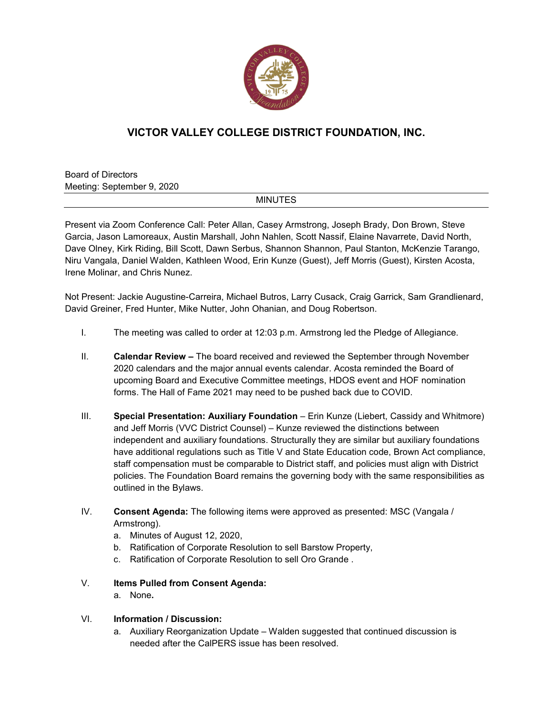

# **VICTOR VALLEY COLLEGE DISTRICT FOUNDATION, INC.**

Board of Directors Meeting: September 9, 2020

## MINUTES

Present via Zoom Conference Call: Peter Allan, Casey Armstrong, Joseph Brady, Don Brown, Steve Garcia, Jason Lamoreaux, Austin Marshall, John Nahlen, Scott Nassif, Elaine Navarrete, David North, Dave Olney, Kirk Riding, Bill Scott, Dawn Serbus, Shannon Shannon, Paul Stanton, McKenzie Tarango, Niru Vangala, Daniel Walden, Kathleen Wood, Erin Kunze (Guest), Jeff Morris (Guest), Kirsten Acosta, Irene Molinar, and Chris Nunez.

Not Present: Jackie Augustine-Carreira, Michael Butros, Larry Cusack, Craig Garrick, Sam Grandlienard, David Greiner, Fred Hunter, Mike Nutter, John Ohanian, and Doug Robertson.

- I. The meeting was called to order at 12:03 p.m. Armstrong led the Pledge of Allegiance.
- II. **Calendar Review –** The board received and reviewed the September through November 2020 calendars and the major annual events calendar. Acosta reminded the Board of upcoming Board and Executive Committee meetings, HDOS event and HOF nomination forms. The Hall of Fame 2021 may need to be pushed back due to COVID.
- III. **Special Presentation: Auxiliary Foundation** Erin Kunze (Liebert, Cassidy and Whitmore) and Jeff Morris (VVC District Counsel) – Kunze reviewed the distinctions between independent and auxiliary foundations. Structurally they are similar but auxiliary foundations have additional regulations such as Title V and State Education code, Brown Act compliance, staff compensation must be comparable to District staff, and policies must align with District policies. The Foundation Board remains the governing body with the same responsibilities as outlined in the Bylaws.
- IV. **Consent Agenda:** The following items were approved as presented: MSC (Vangala / Armstrong).
	- a. Minutes of August 12, 2020,
	- b. Ratification of Corporate Resolution to sell Barstow Property,
	- c. Ratification of Corporate Resolution to sell Oro Grande .

#### V. **Items Pulled from Consent Agenda:**

a. None**.**

## VI. **Information / Discussion:**

a. Auxiliary Reorganization Update – Walden suggested that continued discussion is needed after the CalPERS issue has been resolved.